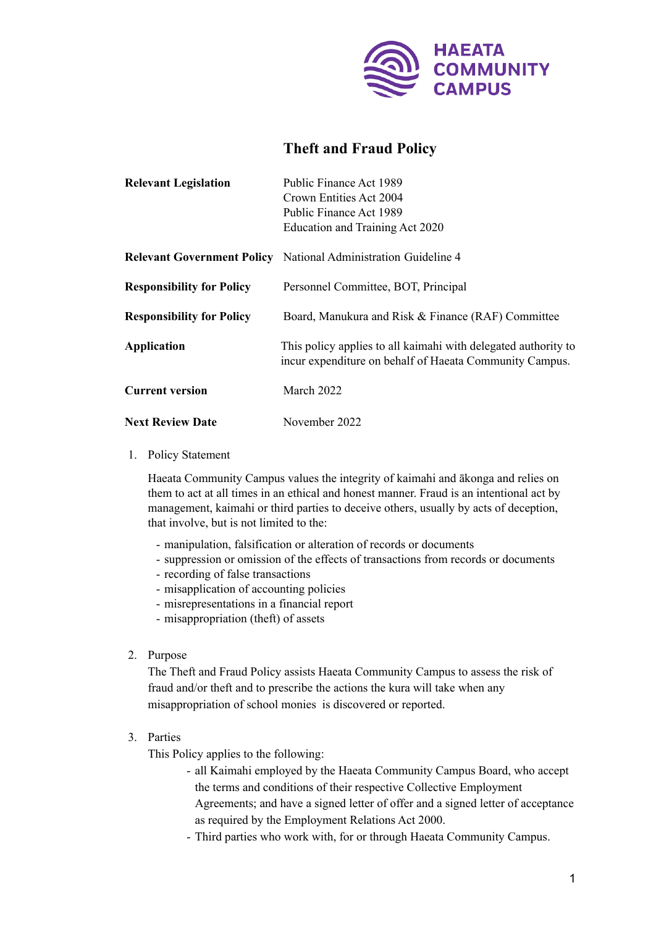

# **Theft and Fraud Policy**

| <b>Relevant Legislation</b>      | Public Finance Act 1989                                                                                                   |
|----------------------------------|---------------------------------------------------------------------------------------------------------------------------|
|                                  | Crown Entities Act 2004                                                                                                   |
|                                  | Public Finance Act 1989                                                                                                   |
|                                  | Education and Training Act 2020                                                                                           |
|                                  | <b>Relevant Government Policy</b> National Administration Guideline 4                                                     |
| <b>Responsibility for Policy</b> | Personnel Committee, BOT, Principal                                                                                       |
| <b>Responsibility for Policy</b> | Board, Manukura and Risk & Finance (RAF) Committee                                                                        |
| <b>Application</b>               | This policy applies to all kaimahi with delegated authority to<br>incur expenditure on behalf of Haeata Community Campus. |
| <b>Current version</b>           | March 2022                                                                                                                |
| <b>Next Review Date</b>          | November 2022                                                                                                             |

## 1. Policy Statement

Haeata Community Campus values the integrity of kaimahi and ākonga and relies on them to act at all times in an ethical and honest manner. Fraud is an intentional act by management, kaimahi or third parties to deceive others, usually by acts of deception, that involve, but is not limited to the:

- manipulation, falsification or alteration of records or documents
- suppression or omission of the effects of transactions from records or documents
- recording of false transactions
- misapplication of accounting policies
- misrepresentations in a financial report
- misappropriation (theft) of assets
- 2. Purpose

The Theft and Fraud Policy assists Haeata Community Campus to assess the risk of fraud and/or theft and to prescribe the actions the kura will take when any misappropriation of school monies is discovered or reported.

# 3. Parties

This Policy applies to the following:

- all Kaimahi employed by the Haeata Community Campus Board, who accept the terms and conditions of their respective Collective Employment Agreements; and have a signed letter of offer and a signed letter of acceptance as required by the Employment Relations Act 2000.
- Third parties who work with, for or through Haeata Community Campus.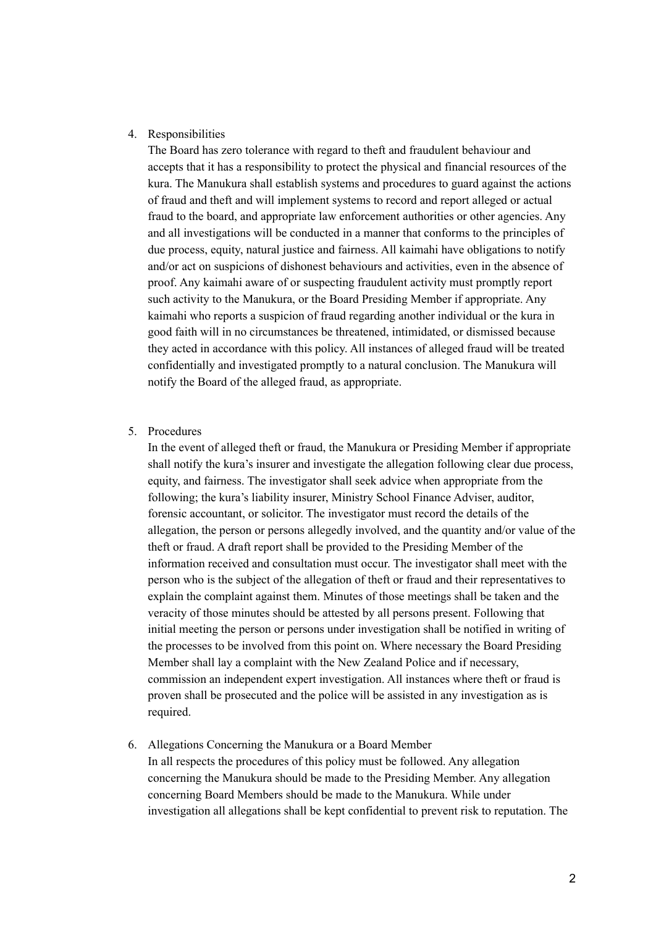#### 4. Responsibilities

The Board has zero tolerance with regard to theft and fraudulent behaviour and accepts that it has a responsibility to protect the physical and financial resources of the kura. The Manukura shall establish systems and procedures to guard against the actions of fraud and theft and will implement systems to record and report alleged or actual fraud to the board, and appropriate law enforcement authorities or other agencies. Any and all investigations will be conducted in a manner that conforms to the principles of due process, equity, natural justice and fairness. All kaimahi have obligations to notify and/or act on suspicions of dishonest behaviours and activities, even in the absence of proof. Any kaimahi aware of or suspecting fraudulent activity must promptly report such activity to the Manukura, or the Board Presiding Member if appropriate. Any kaimahi who reports a suspicion of fraud regarding another individual or the kura in good faith will in no circumstances be threatened, intimidated, or dismissed because they acted in accordance with this policy. All instances of alleged fraud will be treated confidentially and investigated promptly to a natural conclusion. The Manukura will notify the Board of the alleged fraud, as appropriate.

#### 5. Procedures

In the event of alleged theft or fraud, the Manukura or Presiding Member if appropriate shall notify the kura's insurer and investigate the allegation following clear due process, equity, and fairness. The investigator shall seek advice when appropriate from the following; the kura's liability insurer, Ministry School Finance Adviser, auditor, forensic accountant, or solicitor. The investigator must record the details of the allegation, the person or persons allegedly involved, and the quantity and/or value of the theft or fraud. A draft report shall be provided to the Presiding Member of the information received and consultation must occur. The investigator shall meet with the person who is the subject of the allegation of theft or fraud and their representatives to explain the complaint against them. Minutes of those meetings shall be taken and the veracity of those minutes should be attested by all persons present. Following that initial meeting the person or persons under investigation shall be notified in writing of the processes to be involved from this point on. Where necessary the Board Presiding Member shall lay a complaint with the New Zealand Police and if necessary, commission an independent expert investigation. All instances where theft or fraud is proven shall be prosecuted and the police will be assisted in any investigation as is required.

6. Allegations Concerning the Manukura or a Board Member

In all respects the procedures of this policy must be followed. Any allegation concerning the Manukura should be made to the Presiding Member. Any allegation concerning Board Members should be made to the Manukura. While under investigation all allegations shall be kept confidential to prevent risk to reputation. The